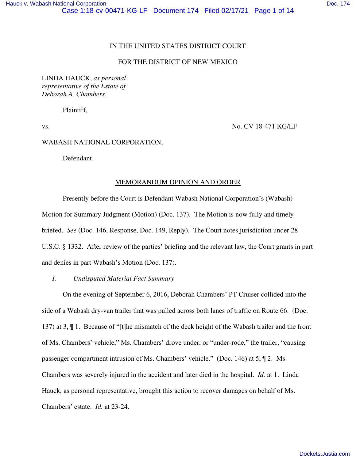### IN THE UNITED STATES DISTRICT COURT

## FOR THE DISTRICT OF NEW MEXICO

LINDA HAUCK, *as personal representative of the Estate of Deborah A. Chambers*,

Plaintiff,

vs. No. CV 18-471 KG/LF

#### WABASH NATIONAL CORPORATION,

Defendant.

#### MEMORANDUM OPINION AND ORDER

Presently before the Court is Defendant Wabash National Corporation's (Wabash) Motion for Summary Judgment (Motion) (Doc. 137). The Motion is now fully and timely briefed. *See* (Doc. 146, Response, Doc. 149, Reply). The Court notes jurisdiction under 28 U.S.C. § 1332. After review of the parties' briefing and the relevant law, the Court grants in part and denies in part Wabash's Motion (Doc. 137).

# *I. Undisputed Material Fact Summary*

On the evening of September 6, 2016, Deborah Chambers' PT Cruiser collided into the side of a Wabash dry-van trailer that was pulled across both lanes of traffic on Route 66. (Doc. 137) at 3,  $\P$  1. Because of "[t]he mismatch of the deck height of the Wabash trailer and the front of Ms. Chambers' vehicle," Ms. Chambers' drove under, or "under-rode," the trailer, "causing passenger compartment intrusion of Ms. Chambers' vehicle." (Doc. 146) at 5, ¶ 2. Ms. Chambers was severely injured in the accident and later died in the hospital. *Id.* at 1. Linda Hauck, as personal representative, brought this action to recover damages on behalf of Ms. Chambers' estate. *Id.* at 23-24.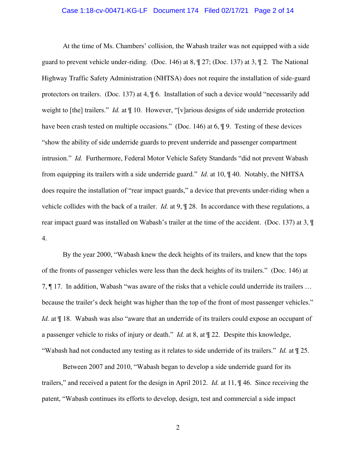### Case 1:18-cv-00471-KG-LF Document 174 Filed 02/17/21 Page 2 of 14

At the time of Ms. Chambers' collision, the Wabash trailer was not equipped with a side guard to prevent vehicle under-riding. (Doc. 146) at  $8, \frac{127}{100c}$ , (Doc. 137) at  $3, \frac{12}{12}$ . The National Highway Traffic Safety Administration (NHTSA) does not require the installation of side-guard protectors on trailers. (Doc. 137) at 4, ¶ 6. Installation of such a device would "necessarily add weight to [the] trailers." *Id.* at  $\P$  10. However, "[v] arious designs of side underride protection have been crash tested on multiple occasions." (Doc. 146) at 6,  $\sqrt{9}$ . Testing of these devices "show the ability of side underride guards to prevent underride and passenger compartment intrusion." *Id.* Furthermore, Federal Motor Vehicle Safety Standards "did not prevent Wabash from equipping its trailers with a side underride guard." *Id.* at 10, ¶ 40. Notably, the NHTSA does require the installation of "rear impact guards," a device that prevents under-riding when a vehicle collides with the back of a trailer. *Id.* at 9, ¶ 28. In accordance with these regulations, a rear impact guard was installed on Wabash's trailer at the time of the accident. (Doc. 137) at 3, ¶ 4.

By the year 2000, "Wabash knew the deck heights of its trailers, and knew that the tops of the fronts of passenger vehicles were less than the deck heights of its trailers." (Doc. 146) at 7, ¶ 17. In addition, Wabash "was aware of the risks that a vehicle could underride its trailers … because the trailer's deck height was higher than the top of the front of most passenger vehicles." *Id.* at  $\P$  18. Wabash was also "aware that an underride of its trailers could expose an occupant of a passenger vehicle to risks of injury or death." *Id.* at 8, at ¶ 22. Despite this knowledge, "Wabash had not conducted any testing as it relates to side underride of its trailers." *Id.* at ¶ 25.

Between 2007 and 2010, "Wabash began to develop a side underride guard for its trailers," and received a patent for the design in April 2012. *Id.* at 11, ¶ 46. Since receiving the patent, "Wabash continues its efforts to develop, design, test and commercial a side impact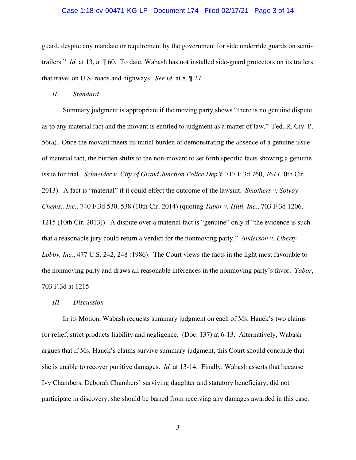### Case 1:18-cv-00471-KG-LF Document 174 Filed 02/17/21 Page 3 of 14

guard, despite any mandate or requirement by the government for side underride guards on semitrailers." *Id.* at 13, at  $\sqrt{60}$ . To date, Wabash has not installed side-guard protectors on its trailers that travel on U.S. roads and highways. *See id.* at 8, ¶ 27.

#### *II. Standard*

Summary judgment is appropriate if the moving party shows "there is no genuine dispute as to any material fact and the movant is entitled to judgment as a matter of law." Fed. R. Civ. P. 56(a). Once the movant meets its initial burden of demonstrating the absence of a genuine issue of material fact, the burden shifts to the non-movant to set forth specific facts showing a genuine issue for trial. *Schneider v. City of Grand Junction Police Dep't*, 717 F.3d 760, 767 (10th Cir. 2013). A fact is "material" if it could effect the outcome of the lawsuit. *Smothers v. Solvay Chems., Inc.*, 740 F.3d 530, 538 (10th Cir. 2014) (quoting *Tabor v. Hilti, Inc.*, 703 F.3d 1206, 1215 (10th Cir. 2013)). A dispute over a material fact is "genuine" only if "the evidence is such that a reasonable jury could return a verdict for the nonmoving party." *Anderson v. Liberty Lobby, Inc.*, 477 U.S. 242, 248 (1986). The Court views the facts in the light most favorable to the nonmoving party and draws all reasonable inferences in the nonmoving party's favor. *Tabor*, 703 F.3d at 1215.

#### *III. Discussion*

In its Motion, Wabash requests summary judgment on each of Ms. Hauck's two claims for relief, strict products liability and negligence. (Doc. 137) at 6-13. Alternatively, Wabash argues that if Ms. Hauck's claims survive summary judgment, this Court should conclude that she is unable to recover punitive damages. *Id.* at 13-14. Finally, Wabash asserts that because Ivy Chambers, Deborah Chambers' surviving daughter and statutory beneficiary, did not participate in discovery, she should be barred from receiving any damages awarded in this case.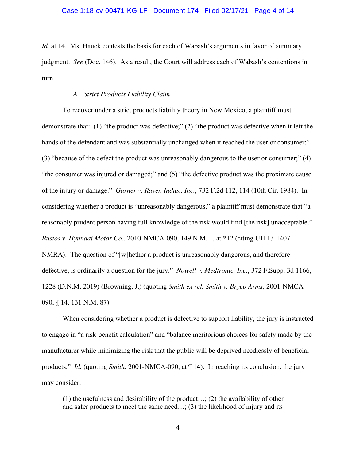### Case 1:18-cv-00471-KG-LF Document 174 Filed 02/17/21 Page 4 of 14

*Id.* at 14. Ms. Hauck contests the basis for each of Wabash's arguments in favor of summary judgment. *See* (Doc. 146). As a result, the Court will address each of Wabash's contentions in turn.

### *A. Strict Products Liability Claim*

To recover under a strict products liability theory in New Mexico, a plaintiff must demonstrate that: (1) "the product was defective;" (2) "the product was defective when it left the hands of the defendant and was substantially unchanged when it reached the user or consumer;" (3) "because of the defect the product was unreasonably dangerous to the user or consumer;" (4) "the consumer was injured or damaged;" and (5) "the defective product was the proximate cause of the injury or damage." *Garner v. Raven Indus., Inc.*, 732 F.2d 112, 114 (10th Cir. 1984). In considering whether a product is "unreasonably dangerous," a plaintiff must demonstrate that "a reasonably prudent person having full knowledge of the risk would find [the risk] unacceptable." *Bustos v. Hyundai Motor Co.*, 2010-NMCA-090, 149 N.M. 1, at \*12 (citing UJI 13-1407 NMRA). The question of "[w]hether a product is unreasonably dangerous, and therefore defective, is ordinarily a question for the jury." *Nowell v. Medtronic, Inc.*, 372 F.Supp. 3d 1166, 1228 (D.N.M. 2019) (Browning, J.) (quoting *Smith ex rel. Smith v. Bryco Arms*, 2001-NMCA-090, ¶ 14, 131 N.M. 87).

When considering whether a product is defective to support liability, the jury is instructed to engage in "a risk-benefit calculation" and "balance meritorious choices for safety made by the manufacturer while minimizing the risk that the public will be deprived needlessly of beneficial products." *Id.* (quoting *Smith*, 2001-NMCA-090, at ¶ 14). In reaching its conclusion, the jury may consider:

(1) the usefulness and desirability of the product…; (2) the availability of other and safer products to meet the same need...;  $(3)$  the likelihood of injury and its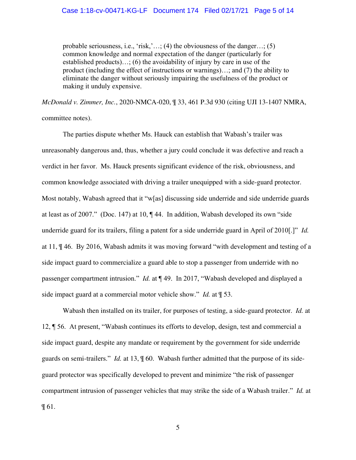### Case 1:18-cv-00471-KG-LF Document 174 Filed 02/17/21 Page 5 of 14

probable seriousness, i.e., 'risk,'…; (4) the obviousness of the danger…; (5) common knowledge and normal expectation of the danger (particularly for established products)…; (6) the avoidability of injury by care in use of the product (including the effect of instructions or warnings)…; and (7) the ability to eliminate the danger without seriously impairing the usefulness of the product or making it unduly expensive.

*McDonald v. Zimmer, Inc.*, 2020-NMCA-020, ¶ 33, 461 P.3d 930 (citing UJI 13-1407 NMRA, committee notes).

The parties dispute whether Ms. Hauck can establish that Wabash's trailer was unreasonably dangerous and, thus, whether a jury could conclude it was defective and reach a verdict in her favor. Ms. Hauck presents significant evidence of the risk, obviousness, and common knowledge associated with driving a trailer unequipped with a side-guard protector. Most notably, Wabash agreed that it "w[as] discussing side underride and side underride guards at least as of 2007." (Doc. 147) at 10, ¶ 44. In addition, Wabash developed its own "side underride guard for its trailers, filing a patent for a side underride guard in April of 2010[.]" *Id.* at 11, ¶ 46. By 2016, Wabash admits it was moving forward "with development and testing of a side impact guard to commercialize a guard able to stop a passenger from underride with no passenger compartment intrusion." *Id.* at ¶ 49. In 2017, "Wabash developed and displayed a side impact guard at a commercial motor vehicle show." *Id.* at ¶ 53.

Wabash then installed on its trailer, for purposes of testing, a side-guard protector. *Id.* at 12, ¶ 56. At present, "Wabash continues its efforts to develop, design, test and commercial a side impact guard, despite any mandate or requirement by the government for side underride guards on semi-trailers." *Id.* at 13, ¶ 60. Wabash further admitted that the purpose of its sideguard protector was specifically developed to prevent and minimize "the risk of passenger compartment intrusion of passenger vehicles that may strike the side of a Wabash trailer." *Id.* at ¶ 61.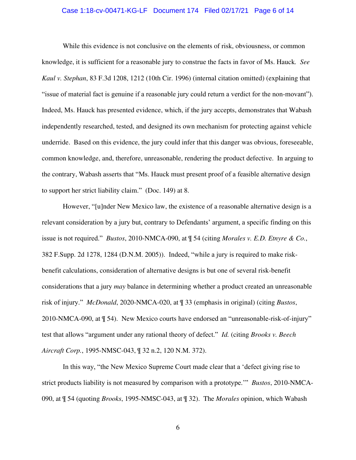### Case 1:18-cv-00471-KG-LF Document 174 Filed 02/17/21 Page 6 of 14

While this evidence is not conclusive on the elements of risk, obviousness, or common knowledge, it is sufficient for a reasonable jury to construe the facts in favor of Ms. Hauck*. See Kaul v. Stephan*, 83 F.3d 1208, 1212 (10th Cir. 1996) (internal citation omitted) (explaining that "issue of material fact is genuine if a reasonable jury could return a verdict for the non-movant"). Indeed, Ms. Hauck has presented evidence, which, if the jury accepts, demonstrates that Wabash independently researched, tested, and designed its own mechanism for protecting against vehicle underride. Based on this evidence, the jury could infer that this danger was obvious, foreseeable, common knowledge, and, therefore, unreasonable, rendering the product defective. In arguing to the contrary, Wabash asserts that "Ms. Hauck must present proof of a feasible alternative design to support her strict liability claim." (Doc. 149) at 8.

However, "[u]nder New Mexico law, the existence of a reasonable alternative design is a relevant consideration by a jury but, contrary to Defendants' argument, a specific finding on this issue is not required." *Bustos*, 2010-NMCA-090, at ¶ 54 (citing *Morales v. E.D. Etnyre & Co.*, 382 F.Supp. 2d 1278, 1284 (D.N.M. 2005)). Indeed, "while a jury is required to make riskbenefit calculations, consideration of alternative designs is but one of several risk-benefit considerations that a jury *may* balance in determining whether a product created an unreasonable risk of injury." *McDonald*, 2020-NMCA-020, at ¶ 33 (emphasis in original) (citing *Bustos*, 2010-NMCA-090, at ¶ 54). New Mexico courts have endorsed an "unreasonable-risk-of-injury" test that allows "argument under any rational theory of defect." *Id.* (citing *Brooks v. Beech Aircraft Corp.*, 1995-NMSC-043, ¶ 32 n.2, 120 N.M. 372).

In this way, "the New Mexico Supreme Court made clear that a 'defect giving rise to strict products liability is not measured by comparison with a prototype.'" *Bustos*, 2010-NMCA-090, at ¶ 54 (quoting *Brooks*, 1995-NMSC-043, at ¶ 32). The *Morales* opinion, which Wabash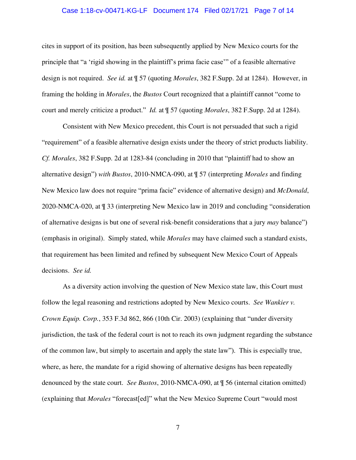### Case 1:18-cv-00471-KG-LF Document 174 Filed 02/17/21 Page 7 of 14

cites in support of its position, has been subsequently applied by New Mexico courts for the principle that "a 'rigid showing in the plaintiff's prima facie case'" of a feasible alternative design is not required. *See id.* at ¶ 57 (quoting *Morales*, 382 F.Supp. 2d at 1284). However, in framing the holding in *Morales*, the *Bustos* Court recognized that a plaintiff cannot "come to court and merely criticize a product." *Id.* at ¶ 57 (quoting *Morales*, 382 F.Supp. 2d at 1284).

Consistent with New Mexico precedent, this Court is not persuaded that such a rigid "requirement" of a feasible alternative design exists under the theory of strict products liability. *Cf. Morales*, 382 F.Supp. 2d at 1283-84 (concluding in 2010 that "plaintiff had to show an alternative design") *with Bustos*, 2010-NMCA-090, at ¶ 57 (interpreting *Morales* and finding New Mexico law does not require "prima facie" evidence of alternative design) and *McDonald*, 2020-NMCA-020, at ¶ 33 (interpreting New Mexico law in 2019 and concluding "consideration of alternative designs is but one of several risk-benefit considerations that a jury *may* balance") (emphasis in original). Simply stated, while *Morales* may have claimed such a standard exists, that requirement has been limited and refined by subsequent New Mexico Court of Appeals decisions. *See id.*

As a diversity action involving the question of New Mexico state law, this Court must follow the legal reasoning and restrictions adopted by New Mexico courts. *See Wankier v. Crown Equip. Corp.*, 353 F.3d 862, 866 (10th Cir. 2003) (explaining that "under diversity jurisdiction, the task of the federal court is not to reach its own judgment regarding the substance of the common law, but simply to ascertain and apply the state law"). This is especially true, where, as here, the mandate for a rigid showing of alternative designs has been repeatedly denounced by the state court. *See Bustos*, 2010-NMCA-090, at ¶ 56 (internal citation omitted) (explaining that *Morales* "forecast[ed]" what the New Mexico Supreme Court "would most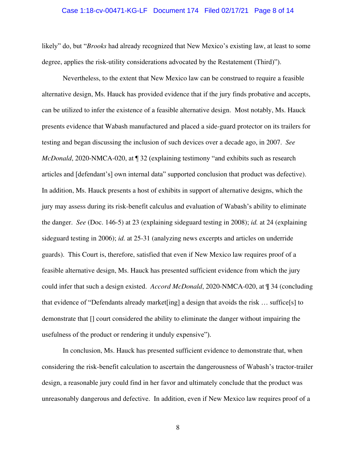### Case 1:18-cv-00471-KG-LF Document 174 Filed 02/17/21 Page 8 of 14

likely" do, but "*Brooks* had already recognized that New Mexico's existing law, at least to some degree, applies the risk-utility considerations advocated by the Restatement (Third)").

Nevertheless, to the extent that New Mexico law can be construed to require a feasible alternative design, Ms. Hauck has provided evidence that if the jury finds probative and accepts, can be utilized to infer the existence of a feasible alternative design. Most notably, Ms. Hauck presents evidence that Wabash manufactured and placed a side-guard protector on its trailers for testing and began discussing the inclusion of such devices over a decade ago, in 2007. *See McDonald*, 2020-NMCA-020, at ¶ 32 (explaining testimony "and exhibits such as research articles and [defendant's] own internal data" supported conclusion that product was defective). In addition, Ms. Hauck presents a host of exhibits in support of alternative designs, which the jury may assess during its risk-benefit calculus and evaluation of Wabash's ability to eliminate the danger. *See* (Doc. 146-5) at 23 (explaining sideguard testing in 2008); *id.* at 24 (explaining sideguard testing in 2006); *id.* at 25-31 (analyzing news excerpts and articles on underride guards). This Court is, therefore, satisfied that even if New Mexico law requires proof of a feasible alternative design, Ms. Hauck has presented sufficient evidence from which the jury could infer that such a design existed. *Accord McDonald*, 2020-NMCA-020, at ¶ 34 (concluding that evidence of "Defendants already market [ing] a design that avoids the risk  $\ldots$  suffice [s] to demonstrate that [] court considered the ability to eliminate the danger without impairing the usefulness of the product or rendering it unduly expensive").

In conclusion, Ms. Hauck has presented sufficient evidence to demonstrate that, when considering the risk-benefit calculation to ascertain the dangerousness of Wabash's tractor-trailer design, a reasonable jury could find in her favor and ultimately conclude that the product was unreasonably dangerous and defective. In addition, even if New Mexico law requires proof of a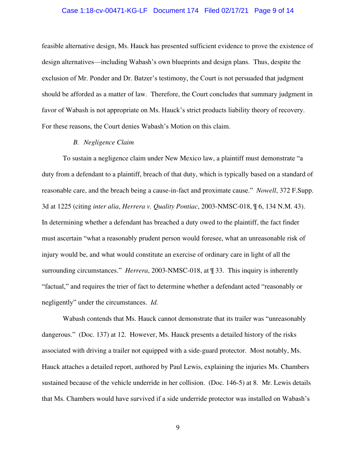### Case 1:18-cv-00471-KG-LF Document 174 Filed 02/17/21 Page 9 of 14

feasible alternative design, Ms. Hauck has presented sufficient evidence to prove the existence of design alternatives—including Wabash's own blueprints and design plans. Thus, despite the exclusion of Mr. Ponder and Dr. Batzer's testimony, the Court is not persuaded that judgment should be afforded as a matter of law. Therefore, the Court concludes that summary judgment in favor of Wabash is not appropriate on Ms. Hauck's strict products liability theory of recovery. For these reasons, the Court denies Wabash's Motion on this claim.

### *B. Negligence Claim*

To sustain a negligence claim under New Mexico law, a plaintiff must demonstrate "a duty from a defendant to a plaintiff, breach of that duty, which is typically based on a standard of reasonable care, and the breach being a cause-in-fact and proximate cause." *Nowell*, 372 F.Supp. 3d at 1225 (citing *inter alia*, *Herrera v. Quality Pontiac*, 2003-NMSC-018, ¶ 6, 134 N.M. 43). In determining whether a defendant has breached a duty owed to the plaintiff, the fact finder must ascertain "what a reasonably prudent person would foresee, what an unreasonable risk of injury would be, and what would constitute an exercise of ordinary care in light of all the surrounding circumstances." *Herrera*, 2003-NMSC-018, at ¶ 33. This inquiry is inherently "factual," and requires the trier of fact to determine whether a defendant acted "reasonably or negligently" under the circumstances. *Id.* 

Wabash contends that Ms. Hauck cannot demonstrate that its trailer was "unreasonably dangerous." (Doc. 137) at 12. However, Ms. Hauck presents a detailed history of the risks associated with driving a trailer not equipped with a side-guard protector. Most notably, Ms. Hauck attaches a detailed report, authored by Paul Lewis, explaining the injuries Ms. Chambers sustained because of the vehicle underride in her collision. (Doc. 146-5) at 8. Mr. Lewis details that Ms. Chambers would have survived if a side underride protector was installed on Wabash's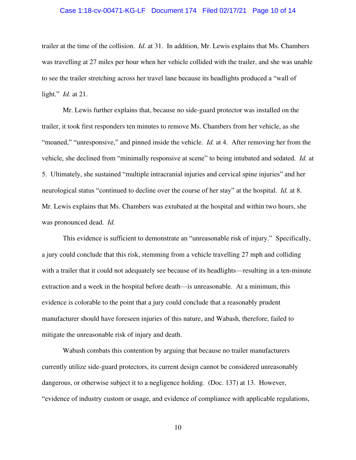### Case 1:18-cv-00471-KG-LF Document 174 Filed 02/17/21 Page 10 of 14

trailer at the time of the collision. *Id.* at 31. In addition, Mr. Lewis explains that Ms. Chambers was travelling at 27 miles per hour when her vehicle collided with the trailer, and she was unable to see the trailer stretching across her travel lane because its headlights produced a "wall of light." *Id.* at 21.

Mr. Lewis further explains that, because no side-guard protector was installed on the trailer, it took first responders ten minutes to remove Ms. Chambers from her vehicle, as she "moaned," "unresponsive," and pinned inside the vehicle. *Id.* at 4. After removing her from the vehicle, she declined from "minimally responsive at scene" to being intubated and sedated. *Id.* at 5. Ultimately, she sustained "multiple intracranial injuries and cervical spine injuries" and her neurological status "continued to decline over the course of her stay" at the hospital. *Id.* at 8. Mr. Lewis explains that Ms. Chambers was extubated at the hospital and within two hours, she was pronounced dead. *Id.*

This evidence is sufficient to demonstrate an "unreasonable risk of injury." Specifically, a jury could conclude that this risk, stemming from a vehicle travelling 27 mph and colliding with a trailer that it could not adequately see because of its headlights—resulting in a ten-minute extraction and a week in the hospital before death—is unreasonable. At a minimum, this evidence is colorable to the point that a jury could conclude that a reasonably prudent manufacturer should have foreseen injuries of this nature, and Wabash, therefore, failed to mitigate the unreasonable risk of injury and death.

Wabash combats this contention by arguing that because no trailer manufacturers currently utilize side-guard protectors, its current design cannot be considered unreasonably dangerous, or otherwise subject it to a negligence holding. (Doc. 137) at 13. However, "evidence of industry custom or usage, and evidence of compliance with applicable regulations,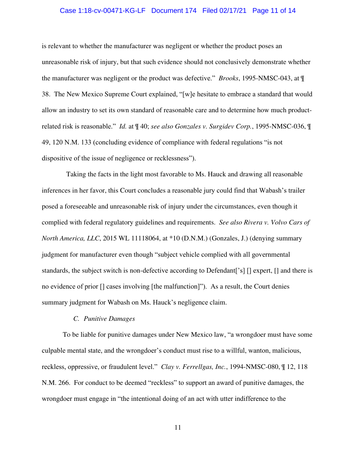### Case 1:18-cv-00471-KG-LF Document 174 Filed 02/17/21 Page 11 of 14

is relevant to whether the manufacturer was negligent or whether the product poses an unreasonable risk of injury, but that such evidence should not conclusively demonstrate whether the manufacturer was negligent or the product was defective." *Brooks*, 1995-NMSC-043, at ¶ 38. The New Mexico Supreme Court explained, "[w]e hesitate to embrace a standard that would allow an industry to set its own standard of reasonable care and to determine how much productrelated risk is reasonable." *Id.* at ¶ 40; *see also Gonzales v. Surgidev Corp.*, 1995-NMSC-036, ¶ 49, 120 N.M. 133 (concluding evidence of compliance with federal regulations "is not dispositive of the issue of negligence or recklessness").

 Taking the facts in the light most favorable to Ms. Hauck and drawing all reasonable inferences in her favor, this Court concludes a reasonable jury could find that Wabash's trailer posed a foreseeable and unreasonable risk of injury under the circumstances, even though it complied with federal regulatory guidelines and requirements. *See also Rivera v. Volvo Cars of North America, LLC*, 2015 WL 11118064, at  $*10$  (D.N.M.) (Gonzales, J.) (denying summary judgment for manufacturer even though "subject vehicle complied with all governmental standards, the subject switch is non-defective according to Defendant['s] [] expert, [] and there is no evidence of prior [] cases involving [the malfunction]"). As a result, the Court denies summary judgment for Wabash on Ms. Hauck's negligence claim.

# *C. Punitive Damages*

To be liable for punitive damages under New Mexico law, "a wrongdoer must have some culpable mental state, and the wrongdoer's conduct must rise to a willful, wanton, malicious, reckless, oppressive, or fraudulent level." *Clay v. Ferrellgas, Inc.*, 1994-NMSC-080, ¶ 12, 118 N.M. 266. For conduct to be deemed "reckless" to support an award of punitive damages, the wrongdoer must engage in "the intentional doing of an act with utter indifference to the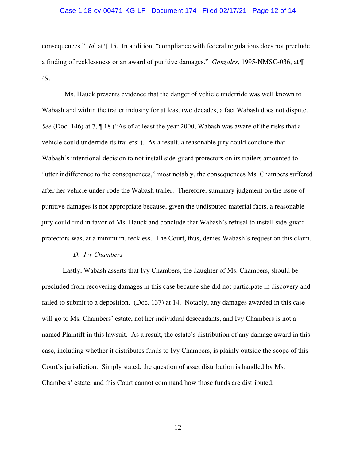### Case 1:18-cv-00471-KG-LF Document 174 Filed 02/17/21 Page 12 of 14

consequences." *Id.* at ¶ 15. In addition, "compliance with federal regulations does not preclude a finding of recklessness or an award of punitive damages." *Gonzales*, 1995-NMSC-036, at ¶ 49.

 Ms. Hauck presents evidence that the danger of vehicle underride was well known to Wabash and within the trailer industry for at least two decades, a fact Wabash does not dispute. *See* (Doc. 146) at 7, ¶ 18 ("As of at least the year 2000, Wabash was aware of the risks that a vehicle could underride its trailers"). As a result, a reasonable jury could conclude that Wabash's intentional decision to not install side-guard protectors on its trailers amounted to "utter indifference to the consequences," most notably, the consequences Ms. Chambers suffered after her vehicle under-rode the Wabash trailer. Therefore, summary judgment on the issue of punitive damages is not appropriate because, given the undisputed material facts, a reasonable jury could find in favor of Ms. Hauck and conclude that Wabash's refusal to install side-guard protectors was, at a minimum, reckless. The Court, thus, denies Wabash's request on this claim.

#### *D. Ivy Chambers*

Lastly, Wabash asserts that Ivy Chambers, the daughter of Ms. Chambers, should be precluded from recovering damages in this case because she did not participate in discovery and failed to submit to a deposition. (Doc. 137) at 14. Notably, any damages awarded in this case will go to Ms. Chambers' estate, not her individual descendants, and Ivy Chambers is not a named Plaintiff in this lawsuit. As a result, the estate's distribution of any damage award in this case, including whether it distributes funds to Ivy Chambers, is plainly outside the scope of this Court's jurisdiction. Simply stated, the question of asset distribution is handled by Ms. Chambers' estate, and this Court cannot command how those funds are distributed.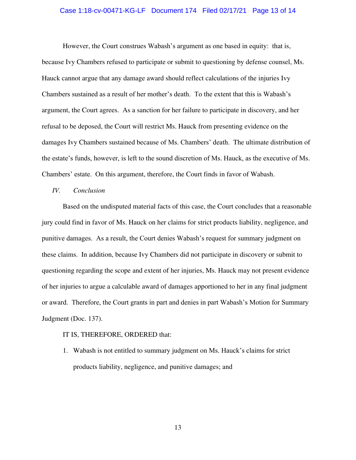### Case 1:18-cv-00471-KG-LF Document 174 Filed 02/17/21 Page 13 of 14

However, the Court construes Wabash's argument as one based in equity: that is, because Ivy Chambers refused to participate or submit to questioning by defense counsel, Ms. Hauck cannot argue that any damage award should reflect calculations of the injuries Ivy Chambers sustained as a result of her mother's death. To the extent that this is Wabash's argument, the Court agrees. As a sanction for her failure to participate in discovery, and her refusal to be deposed, the Court will restrict Ms. Hauck from presenting evidence on the damages Ivy Chambers sustained because of Ms. Chambers' death. The ultimate distribution of the estate's funds, however, is left to the sound discretion of Ms. Hauck, as the executive of Ms. Chambers' estate. On this argument, therefore, the Court finds in favor of Wabash.

## *IV. Conclusion*

Based on the undisputed material facts of this case, the Court concludes that a reasonable jury could find in favor of Ms. Hauck on her claims for strict products liability, negligence, and punitive damages. As a result, the Court denies Wabash's request for summary judgment on these claims. In addition, because Ivy Chambers did not participate in discovery or submit to questioning regarding the scope and extent of her injuries, Ms. Hauck may not present evidence of her injuries to argue a calculable award of damages apportioned to her in any final judgment or award. Therefore, the Court grants in part and denies in part Wabash's Motion for Summary Judgment (Doc. 137).

#### IT IS, THEREFORE, ORDERED that:

1. Wabash is not entitled to summary judgment on Ms. Hauck's claims for strict products liability, negligence, and punitive damages; and